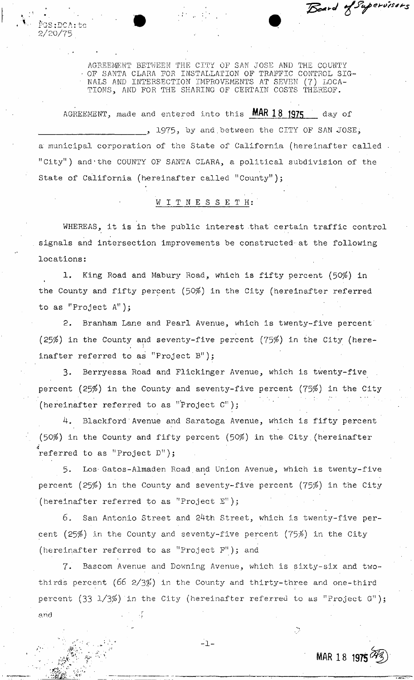AGREEMENT BETWEEN THE CITY OF SAM JOSE AND THE COUNTY - OF SANTA CLARA FOR INSTALLATION OF TRAFFIC CONTROL SIG-NALS AND INTERSECTION IMPROVEMENTS AT SEVEN (7) LOCA-TIONS, AND FOR THE SHARING OF CERTAIN COSTS THEREOF.

2/26/75"  $PGS\cdot DCA\cdot bcd$ 

AGREEMENT, made and entered into this **MAR 18 1975** day of , 1975, by and between the CITY OF SAN JOSE, a municipal corporation of the State of California (hereinafter called "City") and'the COUNTY OF SANTA CLARA, a political subdivision of the State of California (hereinafter called "County");

# WITNESSET H

signals and intersection improvements be constructed at the following locations: WHEREAS, it is in the public interest that certain traffic control

1. King Road and Mabury Road, which is fifty percent (50\$) in the County and fifty percent (50\$) in the City (hereinafter referred to as "Project A");

2. Branham Lane and Pearl Avenue, which is twenty-five percent (25%) in the County and seventy-five percent (75%) in the City (hereinafter referred to as "Project B");

3. Berryessa Road and Flickinger Avenue, which is twenty-five percent (25\$) in the County and seventy-five percent (75\$) in the City (hereinafter referred to as "Project  $C^{n}$ );

4. Blackford'Avenue and Saratoga Avenue, which is fifty percent (50\$) in the County and fifty percent (50\$) in the. City.(hereinafter referred to as "Project D");

5. Los- Gatos-Almaden Road.and Union Avenue, which is twenty-five percent (25%) in the County and seventy-five percent (75%) in the City (hereinafter referred to as "Project E");

6. San Antonio Street and 24th Street, which is twenty-five percent (25\$) in the County and seventy-five percent (75\$) in the City (hereinafter referred to as "Project F" ); and

7. Bascom Avenue and Downing Avenue, which is sixty-six and twothirds percent (66  $2/3\%$ ) in the County and thirty-three and one-third percent  $(33 \t1/3\%)$  in the City (hereinafter referred to as "Project G");  $and$ 

 $-1 -$ 

**MAR 18 1975** 

 $\mathbb{C}^2$ 

Board of Supervisors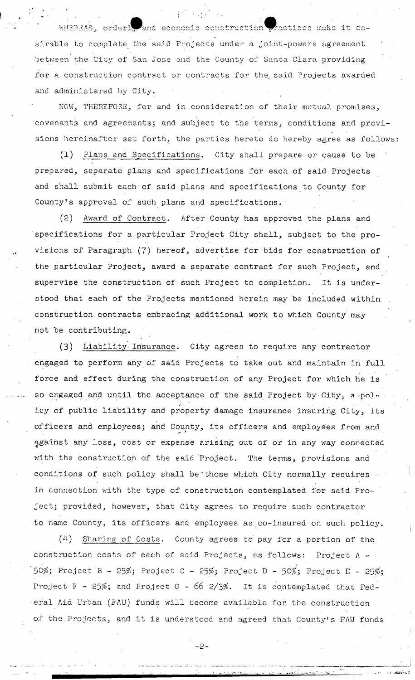WHEREAS, orderly and economic construction practices make it desirable to complete the said Projects under a joint-powers agreement •between the City of San Jose and the County of Santa Clara providing for a construction contract or contracts for the said Projects awarded and administered by City.

 $\alpha$  and  $\alpha$ 

NOW, THEREFORE, for and in consideration of their mutual promises, covenants and agreements; and subject to the terms, conditions and provisions hereinafter set forth, the parties hereto do hereby agree as follows:

(1) Plans and Specifications. City shall prepare or cause to be prepared, separate plans and specifications for each of said Projects and shall submit each of said plans and specifications to County for County<sup>1</sup>s approval of such plans and specifications.

(2) Award of Contract, After County has approved the plans and specifications for a particular Project City shall, subject to the provisions of Paragraph (7) hereof, advertise for bids for construction of the particular Project, award a separate contract for such Project, and supervise the construction of such Project to completion. It is understood that each of the Projects mentioned herein may be included within construction contracts embracing additional work to which County may not be contributing,

(3) Liability' Insurance, City agrees to require any contractor engaged to perform any of said Projects to take out and maintain in full force and effect during the construction of any Project for which he is so engaged and until the acceptance of the said Project by City, a policy of public liability and property damage insurance insuring City, its officers and employees; and County, its officers and employees from and ^gainst any loss, cost or expense arising out of or in any way connected with the construction of the said Project. The terms, provisions and conditions of such policy shall be those which City normally requires in connection with the type of construction contemplated for said Project; provided, however, that City agrees to require such contractor to name County, its officers and employees as co-insured on such policy.

(4) Sharing of Costs. County agrees to. pay for a portion of the., construction costs of each of said Projects, as follows: Project A - 50%; Project B - 25%; Project C - 25%; Project D - 50%; Project E - 25%; Project F - 25%; and Project G -  $66$  2/3%. It is contemplated that Federal Aid Urban (FAU) funds will become available for the construction of the.Projects, and it is understood and agreed that County's FAU funds

۔ نے ۔۔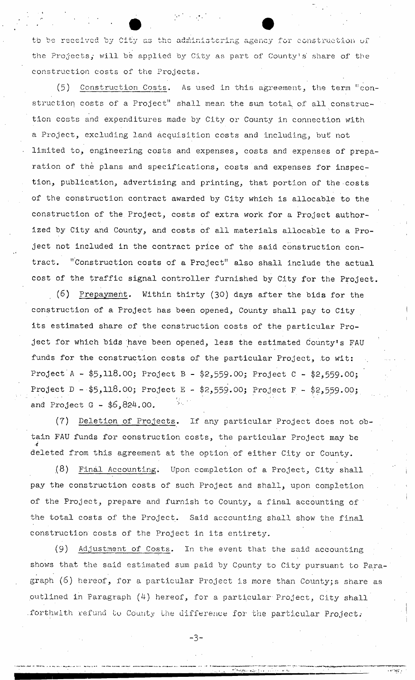to 'be received by City as the administering agency for construction of the Projects, will be applied by City as part of County's share of the construction costs of the Projects.

(5) Construction Costs. As used in this agreement, the term "construction costs of a Project" shall mean the sum total, of all construction costs and expenditures made by City or County in connection with a Project, excluding land acquisition costs and including, but not limited to, engineering costs and expenses, costs and expenses of preparation of the plans and specifications, costs and expenses for inspection, publication, advertising and printing, that portion of the costs of the construction contract awarded by City which is allocable to the construction of the Project, costs of extra work for a Project authorized by City and County, and costs of all materials allocable to a Project not included in the contract price of the said construction contract. "Construction costs of a Project" also shall include the actual cost of the traffic signal controller furnished by City for the Project.

(6) Prepayment. Within thirty (30) days after the bids for the construction of a Project has been opened, County shall pay to City its estimated share of the construction costs of the particular Project for which bids have been opened, less the estimated County's FAU funds for the construction costs of the particular Project, to wit: Project A - \$5,118.00; Project B - \$2,559.00; Project C - \$2,559.00; Project D - \$5,118.00; Project E - \$2,559.00; Project F - \$2,559.00; and Project  $G - $6,824.00$ .

(7) Deletion of Projects. If any particular Project does not obtain FAU funds for construction costs, the particular Project may be deleted from this agreement at the option of either City or County.

 $\alpha$   $\beta$ ) Final Accounting. Upon completion of a Project, City shall pay the construction costs of such Project and shall, upon completion of the Project, prepare and furnish to County, a final accounting of the total costs of the Project. Said accounting shall show the final construction costs of the Project in its entirety.

 $(9)$  Adjustment of Costs. In the event that the said accounting. shows that the said estimated sum paid by County to City pursuant to Paragraph (6) hereof, for a particular Project is more than County; s share as outlined in Paragraph  $(4)$  hereof, for a particular Project, City shall forthwith refund to County the difference for the particular Project.

-3~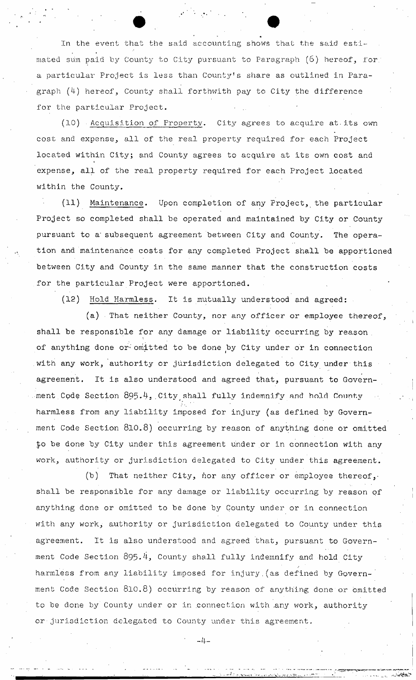In the event that the said accounting shows that the said estimated sum paid by County to City pursuant to Paragraph  $(6)$  hereof, for; a particular Project is less than County's share as outlined in Paragraph  $(4)$  hereof, County shall forthwith pay to City the difference for the particular Project.

(10) • Acquisition of Property, City agrees to acquire at-its own cost and expense, all of the real property required for each Project located within City; and County agrees to acquire at its own cost and expense, all of the real property required for each Project located within the County.

(11) Maintenance. Upon completion of any Project, the particular Project so completed shall be operated and maintained by City or County pursuant to a subsequent agreement between City and County. The operation and maintenance costs for any completed Project shall be apportioned between City and County in the same manner that the construction costs for the particular Project were apportioned.

(12) Hold Harmless. It is mutually understood and agreed:

(a) That neither County, nor any officer or employee thereof, shall be responsible for any damage or liability occurring by reason . of anything done or omitted to be done by City under or in connection with any work, authority or jurisdiction delegated to City under this agreement. It is also understood and agreed that, pursuant to Government Code Section  $895.4$ , City shall fully indemnify and hold County harmless from any liability imposed for injury (as defined by Government Code Section 810.8) occurring by reason of anything done or omitted to be done by City under this agreement under or in connection with any work, authority or jurisdiction delegated to City under this agreement.

(b) That neither City, hor any officer or employee thereof, shall be responsible for any damage or liability occurring by reason of anything done or omitted to be done by County under or in connection with any work, authority or jurisdiction delegated to County under this agreement. It is also understood and agreed that, pursuant to Government Code Section 895.4, County shall fully indemnify and hold City harmless from any liability imposed for injury.(as defined by Government Code Section 810.8) occurring by reason of anything done or omitted to be done by County under or in connection with any work, authority or•jurisdiction delegated to County under this agreement.

 $-4-$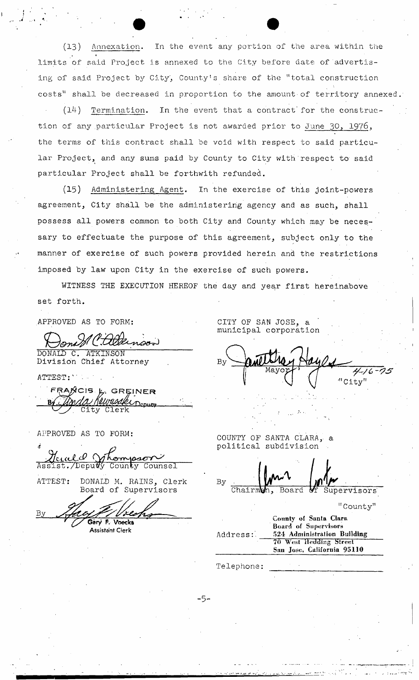(13) Annexation. In the event any portion of the area within the limits of said Project is annexed to the City before date of advertising of said Project by City, County's share of the "total construction costs" shall be decreased in proportion to the amount of territory annexed.

 $(14)$  Termination. In the event that a contract for the construction of any particular Project is not awarded prior to June 30, 1976, the terms of this contract shall be void with respect to said particular Project, and any sums paid by County to City with respect to said particular Project shall be forthwith refunded.

(15) Administering Agent. In the exercise of this joint-powers agreement, City shall be the administering agency and as such, shall possess all powers common to both City and County which may be necessary to effectuate the purpose of this agreement, subject only to the manner of exercise of such powers provided herein and the restrictions imposed by law upon City in the exercise of such powers.

WITNESS THE EXECUTION HEREOF the day and year first hereinabove set forth.

APPROVED AS TO FORM;

 $n$ 

INSON Division Chief Attorney

ATTEST:

FRANCIS & GREINER City Clerk

APPROVED AS TO FORM:

<u>cial V</u> Whompson

Assist./Deputy County

ATTEST: DONALD M. RAINS, Clerk Board of Supervisors

*Oar/* F, Voecka

**Assistant Clerk** 

CITY OF SAN JOSE, a municipal corporation

 $4/6 - 7$ City"

COUNTY OF SANTA CLARA, a political subdivision

By Chairmon, Board

Supervisors'

 $\mathbb{F}_{\text{Count}}$ 

|          | oodiity,                                                                     |
|----------|------------------------------------------------------------------------------|
| Address: | County of Santa Clara<br>Board of Supervisors<br>524 Administration Building |
|          | <b>70 West Hedding Street</b><br>San Jose, California 95110                  |

Telephone

-5-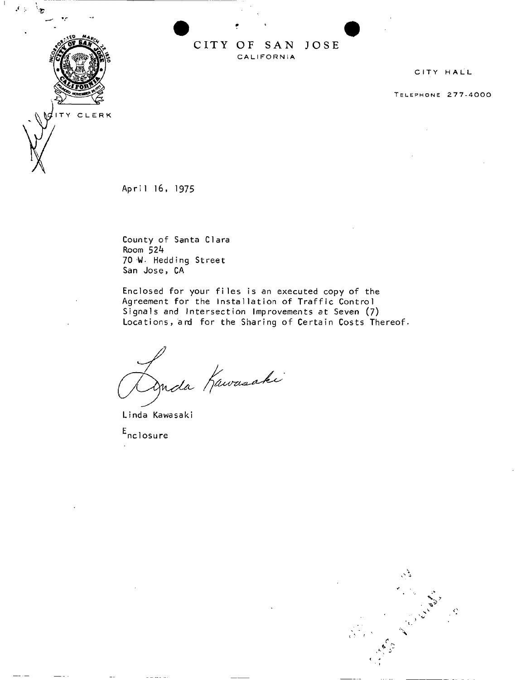## **CIT Y O F SA N JOS E**  CALIFORNIA

CITY HALL

**TELEPHONE 277-4000** 

April 16, 1975

County of Santa Clara Room 52k 70 <W. Hedding Street San Jose, CA

Enclosed for your files is an executed copy of the Agreement for the Installation of Traffic Control Signals and Intersection Improvements at Seven (7) Locations, and for the Sharing of Certain Costs Thereof.

P<br>Duda Kawasaki

Linda Kawasaki

E<br><sup>E</sup>nclosu**r**e





 $\mathcal{F} \subset \mathcal{F}$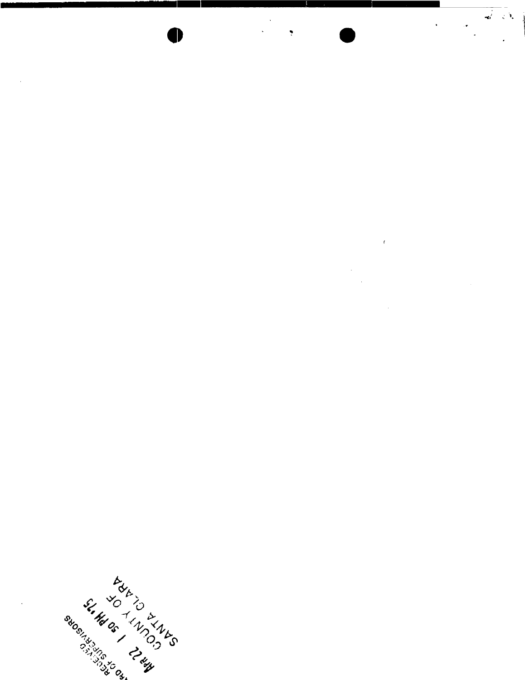

 $\bar{z}$ 

 $\bar{t}$  $\bar{\mathcal{A}}$  $\frac{1}{2}$ 

 $\hat{\mathcal{A}}$ 

 $\frac{1}{\sqrt{2}}$ 

 $\begin{array}{c} \mathbf{1}_{\mathbf{1}_{\mathbf{1}}} \\ \mathbf{1}_{\mathbf{1}_{\mathbf{1}}} \\ \mathbf{1}_{\mathbf{1}} \end{array}$ 

 $\hat{\textbf{r}}$ 

But I am I am I am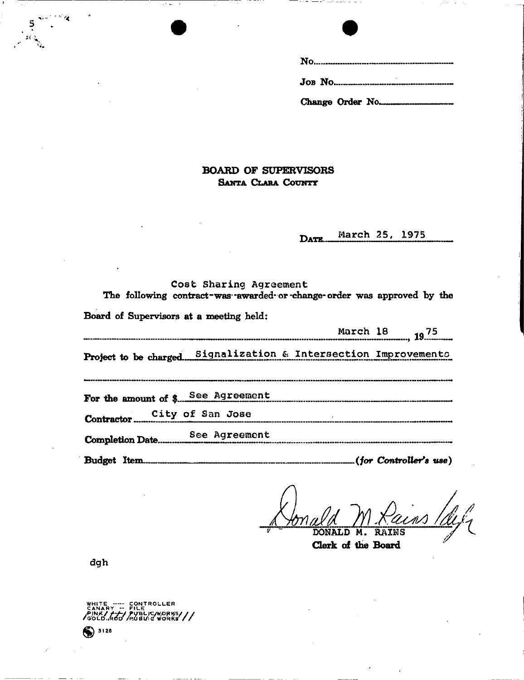## **BOARD OF SUPERVISORS S**ahta **C**lara **C**ounty

**March 25, 1975**  DATE.

| Cost Sharing Agreement<br>The following contract-was awarded or change order was approved by the |  |  |  |  |  |  |  |
|--------------------------------------------------------------------------------------------------|--|--|--|--|--|--|--|
| Board of Supervisors at a meeting held:                                                          |  |  |  |  |  |  |  |
|                                                                                                  |  |  |  |  |  |  |  |
| Project to be charged. Signalization & Intersection Improvements                                 |  |  |  |  |  |  |  |
| For the amount of \$ See Agreement                                                               |  |  |  |  |  |  |  |
| Contractor City of San Jose                                                                      |  |  |  |  |  |  |  |
|                                                                                                  |  |  |  |  |  |  |  |
|                                                                                                  |  |  |  |  |  |  |  |

*DONALD M. RAINS* 

**Clerk of the Board** 

**dgh** 

WHITE ----- CONTROLLER<br>Canary -- File<br>Pink/<del>/--</del>-/Publ*uch*norks PUBLIC WORKS<sup>//</sup>/

 $<sup>3128</sup>$ </sup>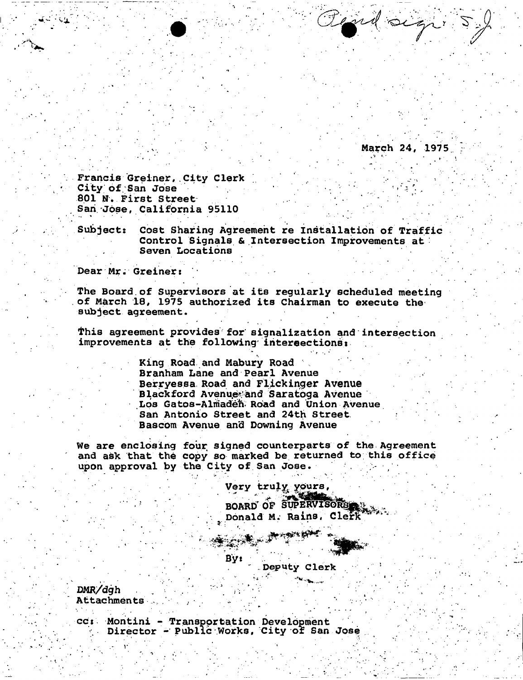**March 24, 1975.** 

Road sign.

**Francis Greiner,.City Clerk ; City of San Jose** 801 N. First Street **Sari Jose, California 95110** 

Subject: Cost Sharing Agreement re Installation of Traffic **Control Signals & Intersection Improvements at : Seven Locations** 

**Dear Mr. Greiner:** 

**The Board.of Supervisors at its regularly scheduled meeting of M&rch 18, 1975 authorized its Chairman to execute the subject agreement.** 

**This agreement provides for signalization and intersection improvements at the following intersections:** 

> **King Road and Mabury Road Branham Lane and Pearl Avenue Berryessa Road and Flickinger Avenue Blackford Avenue and Saratoga Avenue** Los Gatos-Almaden Road and Union Avenue **Sari Antonio Street and 24th Street. Bascom Avenue and Downing Avenue**

**We are enclosing four signed counterparts of the Agreement and ask that the copy so marked be returned to this office**  upon approval by the City of San Jose.

> **Very truly^ ypurs** *<sup>9</sup>* **BOARD OF SUPERVISORS . Donald M. Rains, Clerk**

**~ Deputy Clerk**  . , • ... , -

**DMR/dgh . . '•• .** Attachments

**cc: Montini - Transpprtation Develbpment . Director - Public .Works, City of San Jose** 

 $\mathbf{v} = \mathbf{v} \cdot \mathbf{v} + \mathbf{v} \cdot \mathbf{v} + \mathbf{v} \cdot \mathbf{v}$ 

**Byt** 

 $\mathcal{P}^{\mathcal{P}}_{\mathcal{P}}$  , where  $\mathcal{P}^{\mathcal{P}}_{\mathcal{P}}$  is the set of  $\mathcal{P}^{\mathcal{P}}_{\mathcal{P}}$  , where  $\mathcal{P}^{\mathcal{P}}_{\mathcal{P}}$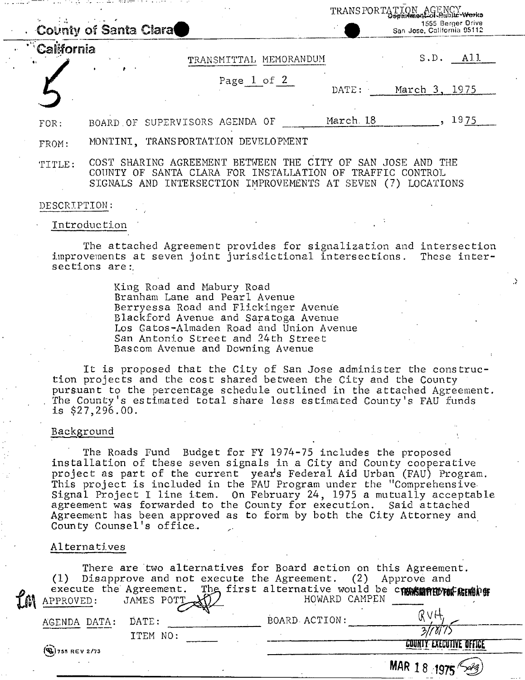|              | Озаимпедкончали тиотко<br>1555 Berger Drive<br>County of Santa Clara<br>San Jose, California 95112                                                                                       |
|--------------|------------------------------------------------------------------------------------------------------------------------------------------------------------------------------------------|
| California   | S.D.<br>A11<br>TRANSMITTAL MEMORANDUM                                                                                                                                                    |
|              | Page 1 of 2<br>March 3, 1975<br>DATE:                                                                                                                                                    |
| FOR:         | 1975<br>March <sub>.</sub> 18<br>BOARD OF SUPERVISORS AGENDA OF                                                                                                                          |
| FROM:        | MONTINI, TRANSPORTATION DEVELOPMENT                                                                                                                                                      |
| TITLE:       | COST SHARING AGREEMENT BETWEEN THE CITY OF SAN JOSE AND THE<br>COUNTY OF SANTA CLARA FOR INSTALLATION OF TRAFFIC CONTROL<br>SIGNALS AND INTERSECTION IMPROVEMENTS AT SEVEN (7) LOCATIONS |
| DESCRIPTION: |                                                                                                                                                                                          |
|              | Introduction                                                                                                                                                                             |
|              | The attached Agreement provides for signalization and intersection<br>improvements at seven joint jurisdictional intersections.<br>These inter-<br>sections are:                         |

TRANS PORTATION AGENCY

King Road and Mabury Road Branham Lane and Pearl Avenue Berryessa Road and Flickinger Avenue Blackford Avenue and Saratoga Avenue Los Gatos-Almaden Road and Union Avenue San Antonio Street and 24th Street Bascom Avenue and Downing Avenue

It is proposed that the City of San Jose administer the construction projects and the cost shared between the City and the County pursuant to the percentage schedule outlined in the attached Agreement. The County's estimated total share less estimated County's FAU funds is \$27,296.00.

#### Background ,

The Roads Fund Budget for FY 1974-75 includes the proposed installation of these seven signals in a City and County cooperative project as part of the current year's Federal Aid Urban (FAU) Program. This project is included in the FAU Program under the "Comprehensive. Signal Project I line item. On February 24, 1975 a mutually acceptable agreement was forwarded to the County for execution. Said attached Agreement has been approved as to form by both the City Attorney and County Counsel's office..

#### Alternatives

| APPROVED:                | (1) Disapprove and not execute the Agreement. (2) Approve and |  |               | There are two alternatives for Board action on this Agreement.<br>execute the Agreement. The first alternative would be commission of the Agreement. The first alternative would be commission for the PPROVED: |  |
|--------------------------|---------------------------------------------------------------|--|---------------|-----------------------------------------------------------------------------------------------------------------------------------------------------------------------------------------------------------------|--|
| AGENDA DATA:             | DATE:<br>ITEM NO:                                             |  | BOARD ACTION: |                                                                                                                                                                                                                 |  |
| $\left($ Q, 755 REV 2/73 |                                                               |  |               |                                                                                                                                                                                                                 |  |
|                          |                                                               |  |               | MAR 18 19                                                                                                                                                                                                       |  |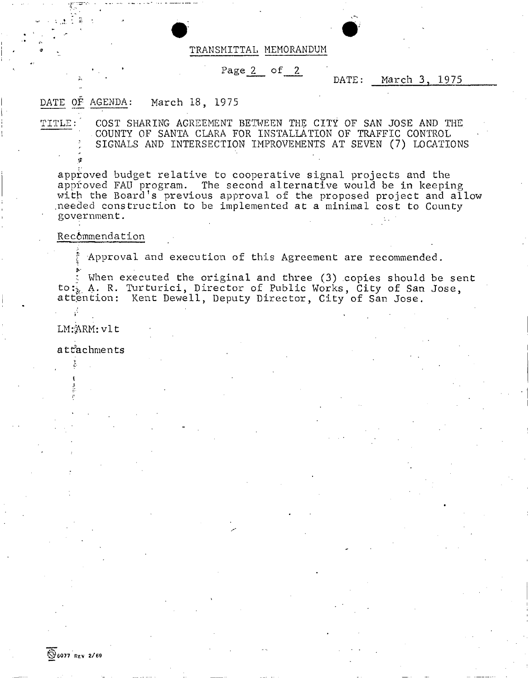#### TRANSMITTAL MEMORANDUM

## **• . • Page 2 of 2**

## DATE: March 3, 1975

## DATE OF AGENDA: March 18, 1975

TITLE:' COST SHARING AGREEMENT BETWEEN THE CITY OF SAN JOSE AND THE .COUNTY OF SANTA CLARA FOR INSTALLATION OF TRAFFIC CONTROL SIGNALS AND INTERSECTION IMPROVEMENTS AT SEVEN (7) LOCATIONS

approved budget relative to cooperative signal projects and the approved FAU program. The second alternative would be in keeping with the Board's previous approval of the proposed project and allow .needed construction to be implemented at a minimal cost to County government.

## Recommendation

Approval and execution of this Agreement are recommended.

When executed the original and three (3) copies should be sent to:, A. R. Turturici, Director of Public Works, City of San Jose, attention: Kent Dewell, Deputy Director, City of San Jose.  $\frac{1}{2}$ 

LM:&RM:vlt

attachments

a<br>a